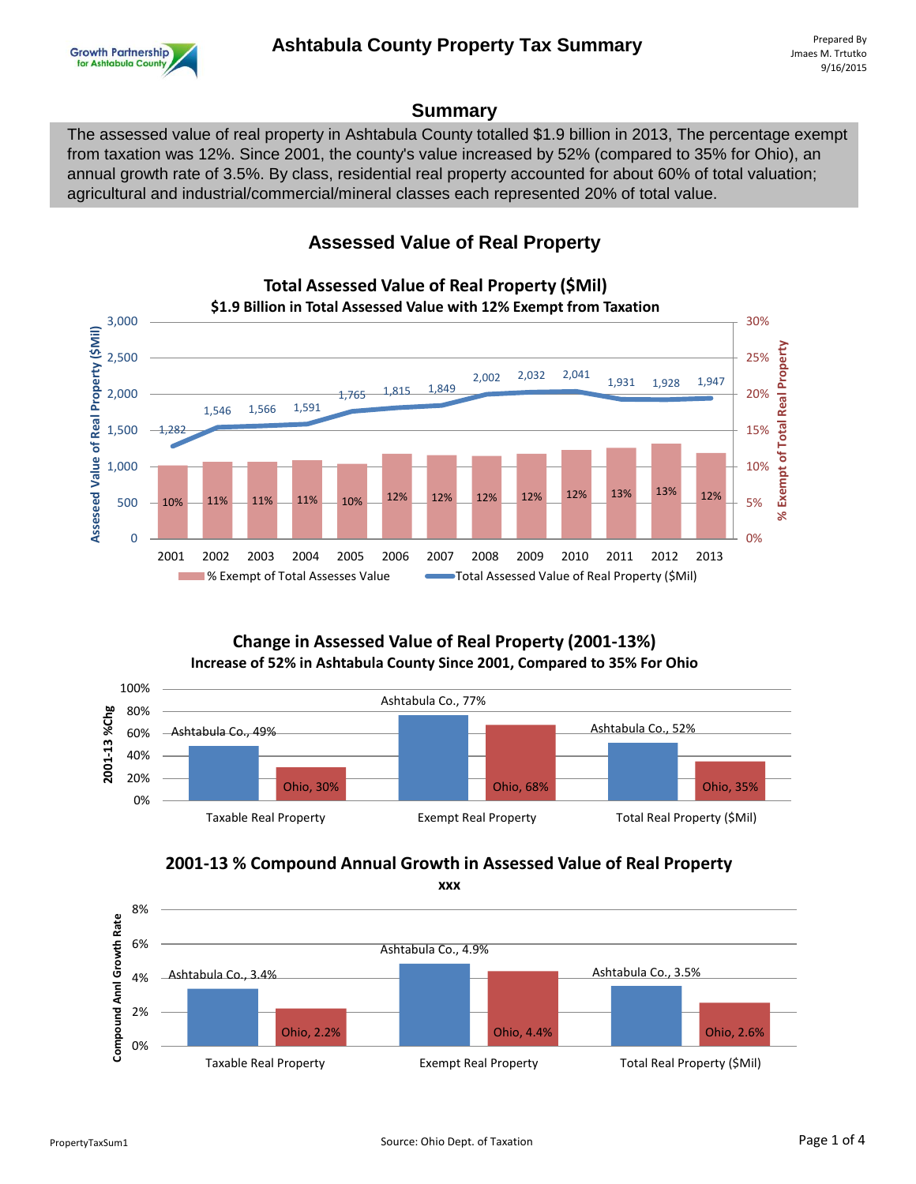

#### **Summary**

The assessed value of real property in Ashtabula County totalled \$1.9 billion in 2013, The percentage exempt from taxation was 12%. Since 2001, the county's value increased by 52% (compared to 35% for Ohio), an annual growth rate of 3.5%. By class, residential real property accounted for about 60% of total valuation; agricultural and industrial/commercial/mineral classes each represented 20% of total value.

## **Assessed Value of Real Property**



# **Total Assessed Value of Real Property (\$Mil)**

#### **Change in Assessed Value of Real Property (2001-13%) Increase of 52% in Ashtabula County Since 2001, Compared to 35% For Ohio**



## **2001-13 % Compound Annual Growth in Assessed Value of Real Property**

**xxx**

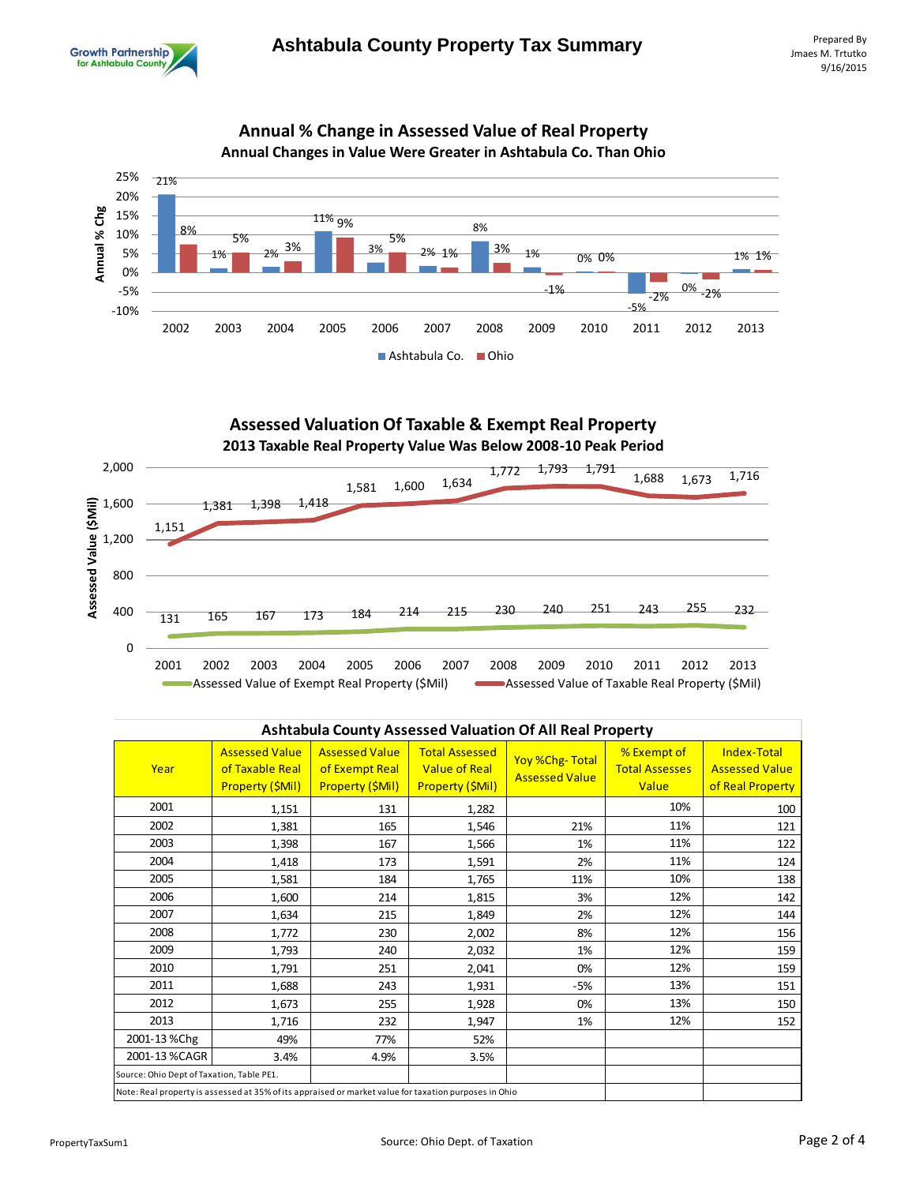



# **Annual % Change in Assessed Value of Real Property**





| <b>Ashtabula County Assessed Valuation Of All Real Property</b>                                       |                                                              |                                                                    |                                                                   |                                                |                                               |                                                          |  |
|-------------------------------------------------------------------------------------------------------|--------------------------------------------------------------|--------------------------------------------------------------------|-------------------------------------------------------------------|------------------------------------------------|-----------------------------------------------|----------------------------------------------------------|--|
| Year                                                                                                  | <b>Assessed Value</b><br>of Taxable Real<br>Property (\$Mil) | <b>Assessed Value</b><br>of Exempt Real<br><b>Property (\$Mil)</b> | <b>Total Assessed</b><br><b>Value of Real</b><br>Property (\$Mil) | <b>Yoy %Chg-Total</b><br><b>Assessed Value</b> | % Exempt of<br><b>Total Assesses</b><br>Value | Index-Total<br><b>Assessed Value</b><br>of Real Property |  |
| 2001                                                                                                  | 1,151                                                        | 131                                                                | 1,282                                                             |                                                | 10%                                           | 100                                                      |  |
| 2002                                                                                                  | 1,381                                                        | 165                                                                | 1,546                                                             | 21%                                            | 11%                                           | 121                                                      |  |
| 2003                                                                                                  | 1,398                                                        | 167                                                                | 1,566                                                             | 1%                                             | 11%                                           | 122                                                      |  |
| 2004                                                                                                  | 1,418                                                        | 173                                                                | 1,591                                                             | 2%                                             | 11%                                           | 124                                                      |  |
| 2005                                                                                                  | 1,581                                                        | 184                                                                | 1,765                                                             | 11%                                            | 10%                                           | 138                                                      |  |
| 2006                                                                                                  | 1,600                                                        | 214                                                                | 1,815                                                             | 3%                                             | 12%                                           | 142                                                      |  |
| 2007                                                                                                  | 1,634                                                        | 215                                                                | 1,849                                                             | 2%                                             | 12%                                           | 144                                                      |  |
| 2008                                                                                                  | 1,772                                                        | 230                                                                | 2,002                                                             | 8%                                             | 12%                                           | 156                                                      |  |
| 2009                                                                                                  | 1,793                                                        | 240                                                                | 2,032                                                             | 1%                                             | 12%                                           | 159                                                      |  |
| 2010                                                                                                  | 1,791                                                        | 251                                                                | 2,041                                                             | 0%                                             | 12%                                           | 159                                                      |  |
| 2011                                                                                                  | 1,688                                                        | 243                                                                | 1,931                                                             | $-5%$                                          | 13%                                           | 151                                                      |  |
| 2012                                                                                                  | 1,673                                                        | 255                                                                | 1,928                                                             | 0%                                             | 13%                                           | 150                                                      |  |
| 2013                                                                                                  | 1,716                                                        | 232                                                                | 1,947                                                             | 1%                                             | 12%                                           | 152                                                      |  |
| 2001-13 %Chg                                                                                          | 49%                                                          | 77%                                                                | 52%                                                               |                                                |                                               |                                                          |  |
| 2001-13 %CAGR                                                                                         | 3.4%                                                         | 4.9%                                                               | 3.5%                                                              |                                                |                                               |                                                          |  |
| Source: Ohio Dept of Taxation, Table PE1.                                                             |                                                              |                                                                    |                                                                   |                                                |                                               |                                                          |  |
| Note: Real property is assessed at 35% of its appraised or market value for taxation purposes in Ohio |                                                              |                                                                    |                                                                   |                                                |                                               |                                                          |  |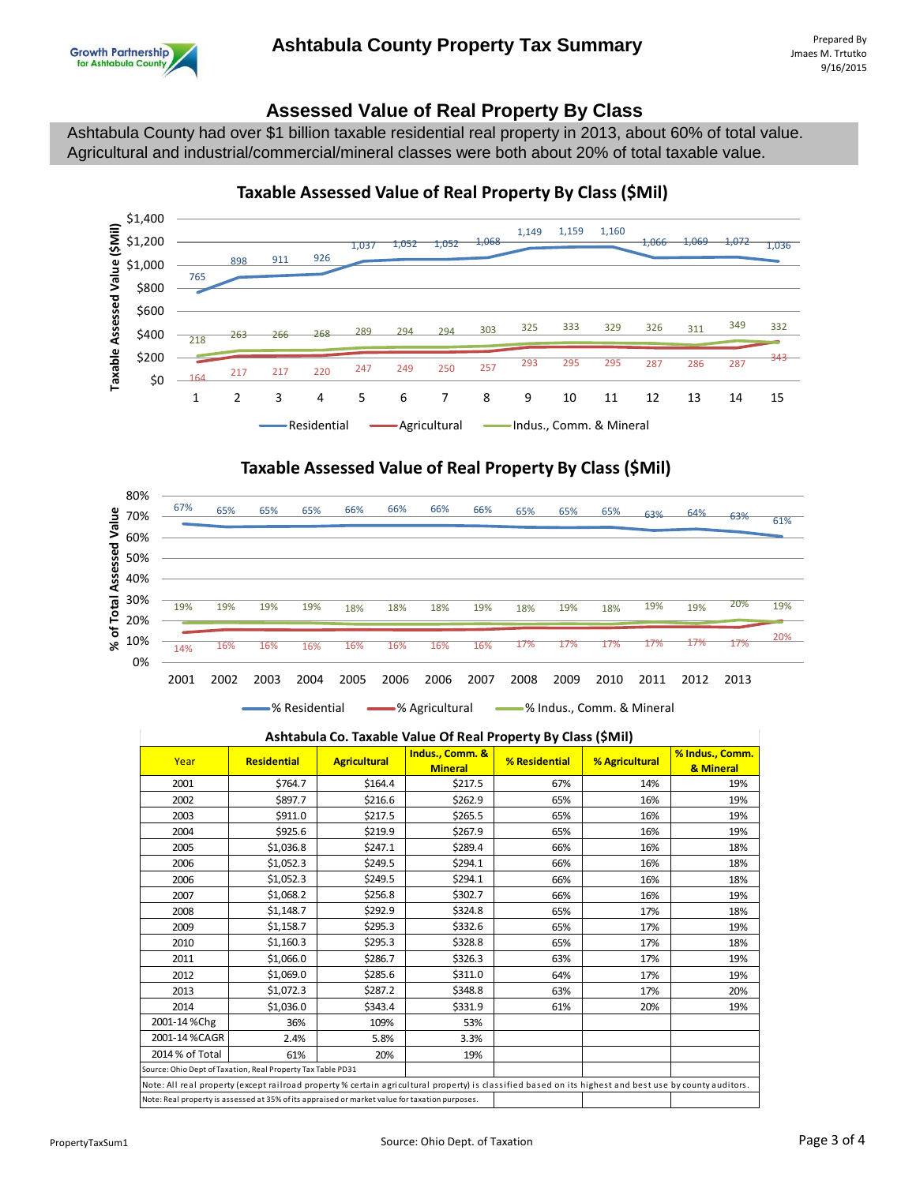### **Assessed Value of Real Property By Class**

Ashtabula County had over \$1 billion taxable residential real property in 2013, about 60% of total value. Agricultural and industrial/commercial/mineral classes were both about 20% of total taxable value.



#### **Taxable Assessed Value of Real Property By Class (\$Mil)**





#### **Ashtabula Co. Taxable Value Of Real Property By Class (\$Mil)**

| Year                                                                                                                                                   | <b>Residential</b> | <b>Agricultural</b> | Indus., Comm. &<br><b>Mineral</b> | % Residential | % Agricultural | % Indus., Comm.<br>& Mineral |
|--------------------------------------------------------------------------------------------------------------------------------------------------------|--------------------|---------------------|-----------------------------------|---------------|----------------|------------------------------|
| 2001                                                                                                                                                   | \$764.7            | \$164.4             | \$217.5                           | 67%           | 14%            | 19%                          |
| 2002                                                                                                                                                   | \$897.7            | \$216.6             | \$262.9                           | 65%           | 16%            | 19%                          |
| 2003                                                                                                                                                   | \$911.0            | \$217.5             | \$265.5                           | 65%           | 16%            | 19%                          |
| 2004                                                                                                                                                   | \$925.6            | \$219.9             | \$267.9                           | 65%           | 16%            | 19%                          |
| 2005                                                                                                                                                   | \$1,036.8          | \$247.1             | \$289.4                           | 66%           | 16%            | 18%                          |
| 2006                                                                                                                                                   | \$1,052.3          | \$249.5             | \$294.1                           | 66%           | 16%            | 18%                          |
| 2006                                                                                                                                                   | \$1,052.3          | \$249.5             | \$294.1                           | 66%           | 16%            | 18%                          |
| 2007                                                                                                                                                   | \$1,068.2          | \$256.8             | \$302.7                           | 66%           | 16%            | 19%                          |
| 2008                                                                                                                                                   | \$1,148.7          | \$292.9             | \$324.8                           | 65%           | 17%            | 18%                          |
| 2009                                                                                                                                                   | \$1,158.7          | \$295.3             | \$332.6                           | 65%           | 17%            | 19%                          |
| 2010                                                                                                                                                   | \$1,160.3          | \$295.3             | \$328.8                           | 65%           | 17%            | 18%                          |
| 2011                                                                                                                                                   | \$1,066.0          | \$286.7             | \$326.3                           | 63%           | 17%            | 19%                          |
| 2012                                                                                                                                                   | \$1,069.0          | \$285.6             | \$311.0                           | 64%           | 17%            | 19%                          |
| 2013                                                                                                                                                   | \$1,072.3          | \$287.2             | \$348.8                           | 63%           | 17%            | 20%                          |
| 2014                                                                                                                                                   | \$1,036.0          | \$343.4             | \$331.9                           | 61%           | 20%            | 19%                          |
| 2001-14%Chg                                                                                                                                            | 36%                | 109%                | 53%                               |               |                |                              |
| 2001-14%CAGR                                                                                                                                           | 2.4%               | 5.8%                | 3.3%                              |               |                |                              |
| 2014 % of Total                                                                                                                                        | 61%                | 20%                 | 19%                               |               |                |                              |
| Source: Ohio Dept of Taxation, Real Property Tax Table PD31                                                                                            |                    |                     |                                   |               |                |                              |
| Note: All real property (except railroad property % certain agricultural property) is classified based on its highest and best use by county auditors. |                    |                     |                                   |               |                |                              |
| Note: Real property is assessed at 35% of its appraised or market value for taxation purposes.                                                         |                    |                     |                                   |               |                |                              |